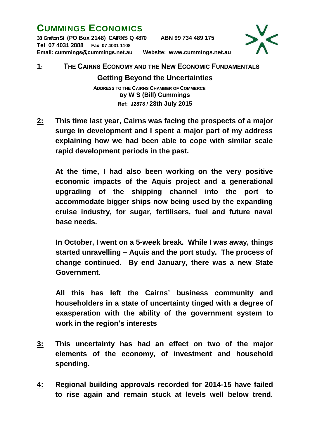## **CUMMINGS ECONOMICS**

**38 Grafton St (PO Box 2148) CAIRNS Q 4870 ABN 99 734 489 175 Tel 07 4031 2888 Fax 07 4031 1108** 



**Email: [cummings@cummings.net.au](mailto:cummings@cummings.net.au) Website: www.cummings.net.au**

## **1: THE CAIRNS ECONOMY AND THE NEW ECONOMIC FUNDAMENTALS**

## **Getting Beyond the Uncertainties**

 **ADDRESS TO THE CAIRNS CHAMBER OF COMMERCE By W S (Bill) Cummings Ref: J2878 / 28th July 2015**

**2: This time last year, Cairns was facing the prospects of a major surge in development and I spent a major part of my address explaining how we had been able to cope with similar scale rapid development periods in the past.** 

**At the time, I had also been working on the very positive economic impacts of the Aquis project and a generational upgrading of the shipping channel into the port to accommodate bigger ships now being used by the expanding cruise industry, for sugar, fertilisers, fuel and future naval base needs.**

**In October, I went on a 5-week break. While I was away, things started unravelling – Aquis and the port study. The process of change continued. By end January, there was a new State Government.** 

**All this has left the Cairns' business community and householders in a state of uncertainty tinged with a degree of exasperation with the ability of the government system to work in the region's interests**

- **3: This uncertainty has had an effect on two of the major elements of the economy, of investment and household spending.**
- **4: Regional building approvals recorded for 2014-15 have failed to rise again and remain stuck at levels well below trend.**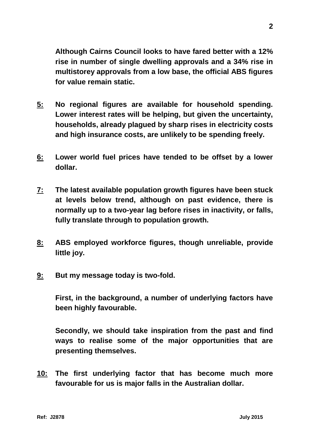**Although Cairns Council looks to have fared better with a 12% rise in number of single dwelling approvals and a 34% rise in multistorey approvals from a low base, the official ABS figures for value remain static.**

- **5: No regional figures are available for household spending. Lower interest rates will be helping, but given the uncertainty, households, already plagued by sharp rises in electricity costs and high insurance costs, are unlikely to be spending freely.**
- **6: Lower world fuel prices have tended to be offset by a lower dollar.**
- **7: The latest available population growth figures have been stuck at levels below trend, although on past evidence, there is normally up to a two-year lag before rises in inactivity, or falls, fully translate through to population growth.**
- **8: ABS employed workforce figures, though unreliable, provide little joy.**
- **9: But my message today is two-fold.**

**First, in the background, a number of underlying factors have been highly favourable.**

**Secondly, we should take inspiration from the past and find ways to realise some of the major opportunities that are presenting themselves.**

**10: The first underlying factor that has become much more favourable for us is major falls in the Australian dollar.**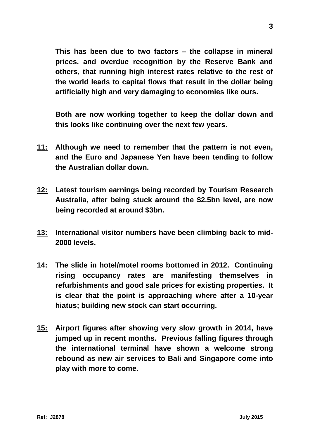**This has been due to two factors – the collapse in mineral prices, and overdue recognition by the Reserve Bank and others, that running high interest rates relative to the rest of the world leads to capital flows that result in the dollar being artificially high and very damaging to economies like ours.** 

**Both are now working together to keep the dollar down and this looks like continuing over the next few years.**

- **11: Although we need to remember that the pattern is not even, and the Euro and Japanese Yen have been tending to follow the Australian dollar down.**
- **12: Latest tourism earnings being recorded by Tourism Research Australia, after being stuck around the \$2.5bn level, are now being recorded at around \$3bn.**
- **13: International visitor numbers have been climbing back to mid-2000 levels.**
- **14: The slide in hotel/motel rooms bottomed in 2012. Continuing rising occupancy rates are manifesting themselves in refurbishments and good sale prices for existing properties. It is clear that the point is approaching where after a 10-year hiatus; building new stock can start occurring.**
- **15: Airport figures after showing very slow growth in 2014, have jumped up in recent months. Previous falling figures through the international terminal have shown a welcome strong rebound as new air services to Bali and Singapore come into play with more to come.**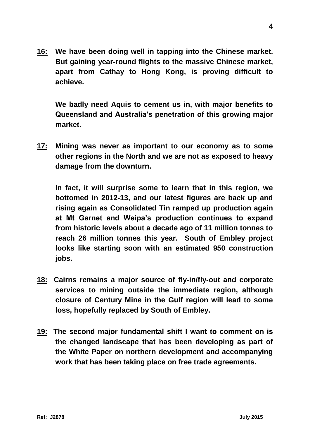**16: We have been doing well in tapping into the Chinese market. But gaining year-round flights to the massive Chinese market, apart from Cathay to Hong Kong, is proving difficult to achieve.**

**We badly need Aquis to cement us in, with major benefits to Queensland and Australia's penetration of this growing major market.**

**17: Mining was never as important to our economy as to some other regions in the North and we are not as exposed to heavy damage from the downturn.** 

**In fact, it will surprise some to learn that in this region, we bottomed in 2012-13, and our latest figures are back up and rising again as Consolidated Tin ramped up production again at Mt Garnet and Weipa's production continues to expand from historic levels about a decade ago of 11 million tonnes to reach 26 million tonnes this year. South of Embley project looks like starting soon with an estimated 950 construction jobs.**

- **18: Cairns remains a major source of fly-in/fly-out and corporate services to mining outside the immediate region, although closure of Century Mine in the Gulf region will lead to some loss, hopefully replaced by South of Embley.**
- **19: The second major fundamental shift I want to comment on is the changed landscape that has been developing as part of the White Paper on northern development and accompanying work that has been taking place on free trade agreements.**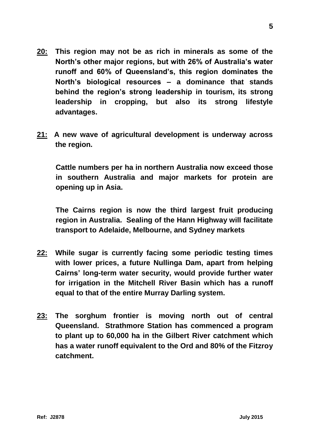- **20: This region may not be as rich in minerals as some of the North's other major regions, but with 26% of Australia's water runoff and 60% of Queensland's, this region dominates the North's biological resources – a dominance that stands behind the region's strong leadership in tourism, its strong leadership in cropping, but also its strong lifestyle advantages.**
- **21: A new wave of agricultural development is underway across the region.**

**Cattle numbers per ha in northern Australia now exceed those in southern Australia and major markets for protein are opening up in Asia.**

**The Cairns region is now the third largest fruit producing region in Australia. Sealing of the Hann Highway will facilitate transport to Adelaide, Melbourne, and Sydney markets** 

- **22: While sugar is currently facing some periodic testing times with lower prices, a future Nullinga Dam, apart from helping Cairns' long-term water security, would provide further water for irrigation in the Mitchell River Basin which has a runoff equal to that of the entire Murray Darling system.**
- **23: The sorghum frontier is moving north out of central Queensland. Strathmore Station has commenced a program to plant up to 60,000 ha in the Gilbert River catchment which has a water runoff equivalent to the Ord and 80% of the Fitzroy catchment.**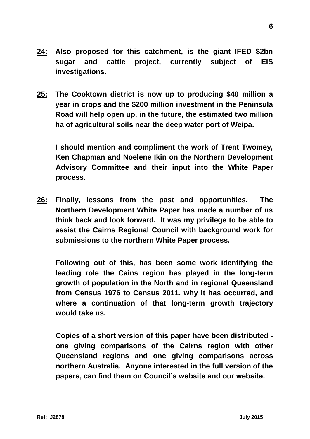- **24: Also proposed for this catchment, is the giant IFED \$2bn sugar and cattle project, currently subject of EIS investigations.**
- **25: The Cooktown district is now up to producing \$40 million a year in crops and the \$200 million investment in the Peninsula Road will help open up, in the future, the estimated two million ha of agricultural soils near the deep water port of Weipa.**

**I should mention and compliment the work of Trent Twomey, Ken Chapman and Noelene Ikin on the Northern Development Advisory Committee and their input into the White Paper process.**

**26: Finally, lessons from the past and opportunities. The Northern Development White Paper has made a number of us think back and look forward. It was my privilege to be able to assist the Cairns Regional Council with background work for submissions to the northern White Paper process.**

**Following out of this, has been some work identifying the leading role the Cains region has played in the long-term growth of population in the North and in regional Queensland from Census 1976 to Census 2011, why it has occurred, and where a continuation of that long-term growth trajectory would take us.**

**Copies of a short version of this paper have been distributed one giving comparisons of the Cairns region with other Queensland regions and one giving comparisons across northern Australia. Anyone interested in the full version of the papers, can find them on Council's website and our website.**